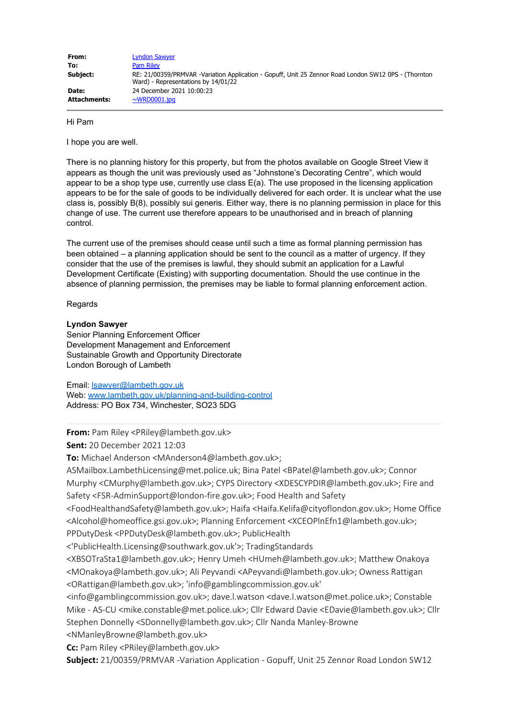| From:        | <b>Lyndon Sawyer</b>                                                                                                                        |
|--------------|---------------------------------------------------------------------------------------------------------------------------------------------|
| To:          | <b>Pam Riley</b>                                                                                                                            |
| Subject:     | RE: 21/00359/PRMVAR -Variation Application - Gopuff, Unit 25 Zennor Road London SW12 0PS - (Thornton<br>Ward) - Representations by 14/01/22 |
| Date:        | 24 December 2021 10:00:23                                                                                                                   |
| Attachments: | $\sim$ WRD0001.jpg                                                                                                                          |

Hi Pam

I hope you are well.

There is no planning history for this property, but from the photos available on Google Street View it appears as though the unit was previously used as "Johnstone's Decorating Centre", which would appear to be a shop type use, currently use class E(a). The use proposed in the licensing application appears to be for the sale of goods to be individually delivered for each order. It is unclear what the use class is, possibly B(8), possibly sui generis. Either way, there is no planning permission in place for this change of use. The current use therefore appears to be unauthorised and in breach of planning control.

The current use of the premises should cease until such a time as formal planning permission has been obtained – a planning application should be sent to the council as a matter of urgency. If they consider that the use of the premises is lawful, they should submit an application for a Lawful Development Certificate (Existing) with supporting documentation. Should the use continue in the absence of planning permission, the premises may be liable to formal planning enforcement action.

Regards

## **Lyndon Sawyer**

Senior Planning Enforcement Officer Development Management and Enforcement Sustainable Growth and Opportunity Directorate London Borough of Lambeth

Email: [lsawyer@lambeth.gov.uk](mailto:lsawyer@lambeth.gov.uk) Web: [www.lambeth.gov.uk/planning-and-building-control](http://www.lambeth.gov.uk/planning-and-building-control) Address: PO Box 734, Winchester, SO23 5DG

**From:** Pam Riley <PRiley@lambeth.gov.uk> **Sent:** 20 December 2021 12:03

**To:** Michael Anderson <MAnderson4@lambeth.gov.uk>;

ASMailbox.LambethLicensing@met.police.uk; Bina Patel <BPatel@lambeth.gov.uk>; Connor Murphy <CMurphy@lambeth.gov.uk>; CYPS Directory <XDESCYPDIR@lambeth.gov.uk>; Fire and Safety <FSR-AdminSupport@london-fire.gov.uk>; Food Health and Safety

<FoodHealthandSafety@lambeth.gov.uk>; Haifa <Haifa.Kelifa@cityoflondon.gov.uk>; Home Office <Alcohol@homeoffice.gsi.gov.uk>; Planning Enforcement <XCEOPlnEfn1@lambeth.gov.uk>; PPDutyDesk <PPDutyDesk@lambeth.gov.uk>; PublicHealth

<'PublicHealth.Licensing@southwark.gov.uk'>; TradingStandards

<XBSOTraSta1@lambeth.gov.uk>; Henry Umeh <HUmeh@lambeth.gov.uk>; Matthew Onakoya <MOnakoya@lambeth.gov.uk>; Ali Peyvandi <APeyvandi@lambeth.gov.uk>; Owness Rattigan <ORattigan@lambeth.gov.uk>; 'info@gamblingcommission.gov.uk'

<info@gamblingcommission.gov.uk>; dave.l.watson <dave.l.watson@met.police.uk>; Constable Mike - AS-CU <mike.constable@met.police.uk>; Cllr Edward Davie <EDavie@lambeth.gov.uk>; Cllr Stephen Donnelly <SDonnelly@lambeth.gov.uk>; Cllr Nanda Manley-Browne

<NManleyBrowne@lambeth.gov.uk>

**Cc:** Pam Riley <PRiley@lambeth.gov.uk>

**Subject:** 21/00359/PRMVAR -Variation Application - Gopuff, Unit 25 Zennor Road London SW12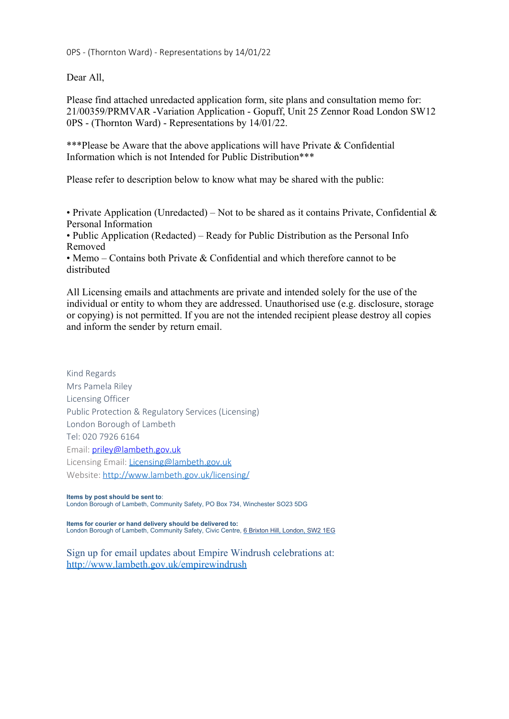0PS - (Thornton Ward) - Representations by 14/01/22

Dear All,

Please find attached unredacted application form, site plans and consultation memo for: 21/00359/PRMVAR -Variation Application - Gopuff, Unit 25 Zennor Road London SW12 0PS - (Thornton Ward) - Representations by 14/01/22.

\*\*\*Please be Aware that the above applications will have Private & Confidential Information which is not Intended for Public Distribution\*\*\*

Please refer to description below to know what may be shared with the public:

• Private Application (Unredacted) – Not to be shared as it contains Private, Confidential  $\&$ Personal Information

• Public Application (Redacted) – Ready for Public Distribution as the Personal Info Removed

• Memo – Contains both Private & Confidential and which therefore cannot to be distributed

All Licensing emails and attachments are private and intended solely for the use of the individual or entity to whom they are addressed. Unauthorised use (e.g. disclosure, storage or copying) is not permitted. If you are not the intended recipient please destroy all copies and inform the sender by return email.

Kind Regards Mrs Pamela Riley Licensing Officer Public Protection & Regulatory Services (Licensing) London Borough of Lambeth Tel: 020 7926 6164 Email: [priley@lambeth.gov.uk](mailto:priley@lambeth.gov.uk) Licensing Email: [Licensing@lambeth.gov.uk](mailto:Licensing@lambeth.gov.uk) Website: [http://www.lambeth.gov.uk/licensing/](https://eur03.safelinks.protection.outlook.com/?url=https%3A%2F%2Furldefense.proofpoint.com%2Fv2%2Furl%3Fu%3Dhttp-3A__www.lambeth.gov.uk_licensing_%26d%3DDwMFAw%26c%3DfRiKniiKXITijYtB4VcDn_uWvC72Sb0QJa4Lmnuhii0%26r%3DYJfRmGs2ayu4unoqoPzTnSUwvYddLiVm-NPH4MM57Ng%26m%3DDuVxFmC0SYvthbkMw5diBXuUMNGiEXCPah8TRwf1nYA%26s%3DPMhePjPuGY_hcHECCcDp6JDZY7JM3txOXinKXtW91Bw%26e%3D&data=04%7C01%7CPRiley%40lambeth.gov.uk%7Cc0f17b5660af43fc96fa08d9c6c4326f%7Cc4f22780485f4507af4a60a971d6f7fe%7C0%7C0%7C637759368231232044%7CUnknown%7CTWFpbGZsb3d8eyJWIjoiMC4wLjAwMDAiLCJQIjoiV2luMzIiLCJBTiI6Ik1haWwiLCJXVCI6Mn0%3D%7C3000&sdata=RIBECTKDcNLAKNdRiQW%2FZQ05SeZuM2cotOmYDssbi7s%3D&reserved=0)

**Items by post should be sent to**: London Borough of Lambeth, Community Safety, PO Box 734, Winchester SO23 5DG

**Items for courier or hand delivery should be delivered to:** London Borough of Lambeth, Community Safety, Civic Centre, [6 Brixton Hill, London, SW2 1EG](https://eur03.safelinks.protection.outlook.com/?url=https%3A%2F%2Furldefense.proofpoint.com%2Fv2%2Furl%3Fu%3Dhttps-3A__www.google.com_maps_search_6-2BBrixton-2BHill-2C-2BLONDON-2C-2BSW2-2B1EG-3Fentry-3Dgmail-26source-3Dg%26d%3DDwMFAw%26c%3DfRiKniiKXITijYtB4VcDn_uWvC72Sb0QJa4Lmnuhii0%26r%3DYJfRmGs2ayu4unoqoPzTnSUwvYddLiVm-NPH4MM57Ng%26m%3DDuVxFmC0SYvthbkMw5diBXuUMNGiEXCPah8TRwf1nYA%26s%3Dqk3j7EQvji5b0oHpsPl5pHqCLjCee1pC41hjpPsZN0M%26e%3D&data=04%7C01%7CPRiley%40lambeth.gov.uk%7Cc0f17b5660af43fc96fa08d9c6c4326f%7Cc4f22780485f4507af4a60a971d6f7fe%7C0%7C0%7C637759368231232044%7CUnknown%7CTWFpbGZsb3d8eyJWIjoiMC4wLjAwMDAiLCJQIjoiV2luMzIiLCJBTiI6Ik1haWwiLCJXVCI6Mn0%3D%7C3000&sdata=k4jBWfWvZjF5Bl%2FT1Hw4BmtB9EfhT%2B8BLQNe4%2FvclO8%3D&reserved=0)

Sign up for email updates about Empire Windrush celebrations at: [http://www.lambeth.gov.uk/empirewindrush](https://eur03.safelinks.protection.outlook.com/?url=https%3A%2F%2Furldefense.proofpoint.com%2Fv2%2Furl%3Fu%3Dhttp-3A__www.lambeth.gov.uk_empirewindrush%26d%3DDwMFAw%26c%3DfRiKniiKXITijYtB4VcDn_uWvC72Sb0QJa4Lmnuhii0%26r%3DYJfRmGs2ayu4unoqoPzTnSUwvYddLiVm-NPH4MM57Ng%26m%3DDuVxFmC0SYvthbkMw5diBXuUMNGiEXCPah8TRwf1nYA%26s%3DKctptK19L6Eqq-SPjwKjLSWfkIvy0HbQJJyunYd3WLY%26e%3D&data=04%7C01%7CPRiley%40lambeth.gov.uk%7Cc0f17b5660af43fc96fa08d9c6c4326f%7Cc4f22780485f4507af4a60a971d6f7fe%7C0%7C0%7C637759368231242041%7CUnknown%7CTWFpbGZsb3d8eyJWIjoiMC4wLjAwMDAiLCJQIjoiV2luMzIiLCJBTiI6Ik1haWwiLCJXVCI6Mn0%3D%7C3000&sdata=ussRRRWVH1UsmmkqSVqLg90Rfco7MoKnCd6fSXhN6Io%3D&reserved=0)